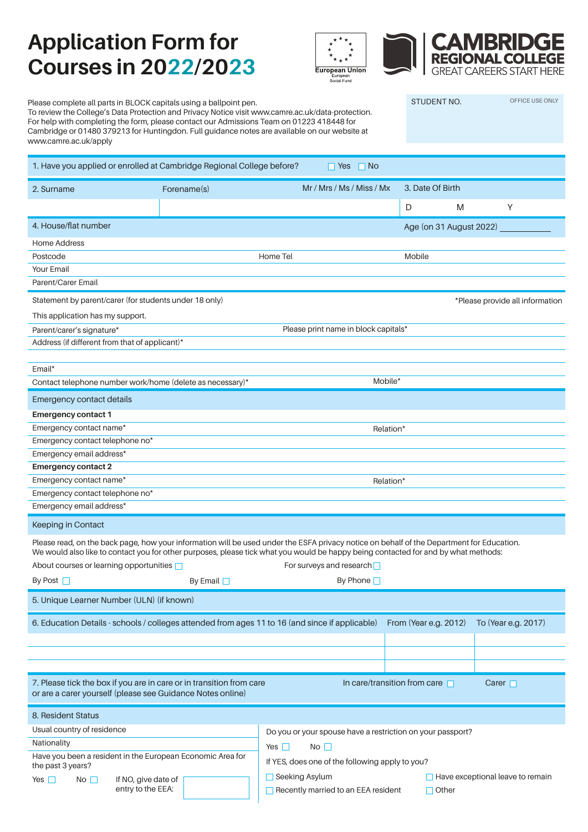### **Application Form for Courses in 2022/2023**





Please complete all parts in BLOCK capitals using a ballpoint pen. To review the College's Data Protection and Privacy Notice visit www.camre.ac.uk/data-protection. For help with completing the form, please contact our Admissions Team on 01223 418448 for Cambridge or 01480 379213 for Huntingdon. Full guidance notes are available on our website at www.camre.ac.uk/apply STUDENT NO. OFFICE USE ONLY 1. Have you applied or enrolled at Cambridge Regional College before?  $\Box$  Yes  $\Box$  No 2. Surname Forename(s) Forename(s) Mr / Mrs / Ms / Ms / Mx 3. Date Of Birth D M Y 4. House/flat number Age (on 31 August 2022) Home Address Postcode Your Email Parent/Carer Email Home Tel Mobile Statement by parent/carer (for students under 18 only) example and the state of the state provide all information This application has my support. Parent/carer's signature\* The Capital State of the Please print name in block capitals\* Address (if different from that of applicant)\* Email\* Contact telephone number work/home (delete as necessary)\* Mobile\* Mobile\* Emergency contact details **Emergency contact 1** Emergency contact name<sup>\*</sup> Emergency contact telephone no\* Emergency email address\* Relation\* **Emergency contact 2** Emergency contact name\* Emergency contact telephone no\* Emergency email address<sup>\*</sup> Relation\* Keeping in Contact Please read, on the back page, how your information will be used under the ESFA privacy notice on behalf of the Department for Education. We would also like to contact you for other purposes, please tick what you would be happy being contacted for and by what methods: About courses or learning opportunities  $\Box$  The surveys and research  $\Box$ By Post Superior By Email By Email By Phone By Phone By Phone By Phone By Phone By Phone By Phone By Phone By Phone By Phone By Phone By Phone By Phone By Phone By Phone By Phone By Phone By Phone By Phone By Phone By Phon 5. Unique Learner Number (ULN) (if known) 6. Education Details - schools / colleges attended from ages 11 to 16 (and since if applicable) From (Year e.g. 2012) To (Year e.g. 2017) 7. Please tick the box if you are in care or in transition from care or are a carer yourself (please see Guidance Notes online) In care/transition from care  $\Box$  Carer  $\Box$ 8. Resident Status Usual country of residence Have you been a resident in the European Economic Area for the past 3 years? **Nationality** Yes  $\Box$  No  $\Box$  If NO, give date of entry to the EEA: Do you or your spouse have a restriction on your passport? Yes  $\Box$  No  $\Box$ If YES, does one of the following apply to you?  $\Box$  Seeking Asylum  $\Box$  Have exceptional leave to remain

 $\Box$  Recently married to an EEA resident

 $\Box$  Other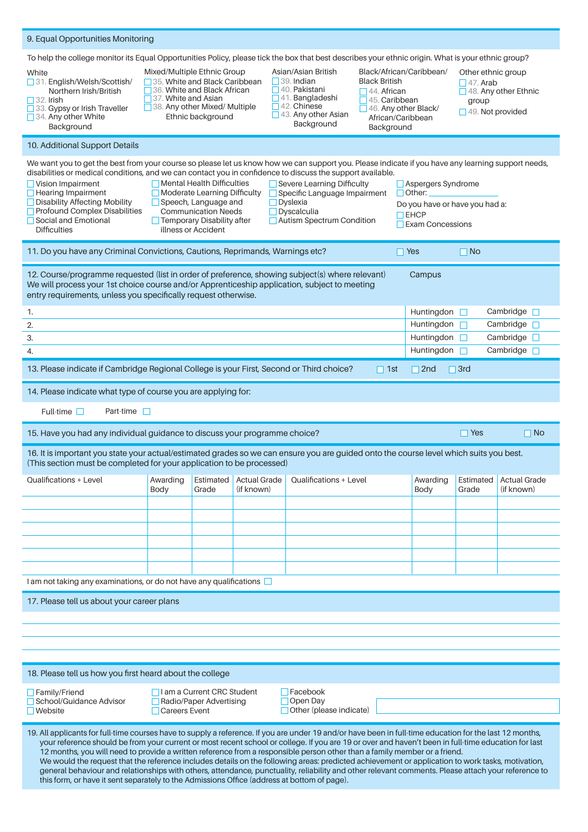| 9. Equal Opportunities Monitoring                                                                                                                                                                                                                                                                                                                                                                                                                                                                                                                                                                                                                                                                                                                                                                                                                                                                          |                                                                                                                                                                                                                                                                                                                                                        |                    |                                   |                                                   |                                                                                  |                                                                                                                                                                                   |                          |                                   |  |
|------------------------------------------------------------------------------------------------------------------------------------------------------------------------------------------------------------------------------------------------------------------------------------------------------------------------------------------------------------------------------------------------------------------------------------------------------------------------------------------------------------------------------------------------------------------------------------------------------------------------------------------------------------------------------------------------------------------------------------------------------------------------------------------------------------------------------------------------------------------------------------------------------------|--------------------------------------------------------------------------------------------------------------------------------------------------------------------------------------------------------------------------------------------------------------------------------------------------------------------------------------------------------|--------------------|-----------------------------------|---------------------------------------------------|----------------------------------------------------------------------------------|-----------------------------------------------------------------------------------------------------------------------------------------------------------------------------------|--------------------------|-----------------------------------|--|
| To help the college monitor its Equal Opportunities Policy, please tick the box that best describes your ethnic origin. What is your ethnic group?                                                                                                                                                                                                                                                                                                                                                                                                                                                                                                                                                                                                                                                                                                                                                         |                                                                                                                                                                                                                                                                                                                                                        |                    |                                   |                                                   |                                                                                  |                                                                                                                                                                                   |                          |                                   |  |
| White<br>31. English/Welsh/Scottish/<br>Northern Irish/British<br>$\Box$ 32. Irish<br>33. Gypsy or Irish Traveller<br>34. Any other White<br>Background                                                                                                                                                                                                                                                                                                                                                                                                                                                                                                                                                                                                                                                                                                                                                    | Mixed/Multiple Ethnic Group<br>Asian/Asian British<br>$\Box$ 39. Indian<br>35. White and Black Caribbean<br>$\Box$ 36. White and Black African<br>$\Box$ 40. Pakistani<br>$\Box$ 41. Bangladeshi<br>$\Box$ 37. White and Asian<br>$\Box$ 42. Chinese<br>38. Any other Mixed/ Multiple<br>$\Box$ 43. Any other Asian<br>Ethnic background<br>Background |                    |                                   |                                                   | <b>Black British</b><br>$\Box$ 44. African<br>$\Box$ 45. Caribbean<br>Background | Black/African/Caribbean/<br>Other ethnic group<br>$\Box$ 47. Arab<br>$\Box$ 48. Any other Ethnic<br>group<br>$\Box$ 46. Any other Black/<br>49. Not provided<br>African/Caribbean |                          |                                   |  |
| 10. Additional Support Details                                                                                                                                                                                                                                                                                                                                                                                                                                                                                                                                                                                                                                                                                                                                                                                                                                                                             |                                                                                                                                                                                                                                                                                                                                                        |                    |                                   |                                                   |                                                                                  |                                                                                                                                                                                   |                          |                                   |  |
| We want you to get the best from your course so please let us know how we can support you. Please indicate if you have any learning support needs,<br>disabilities or medical conditions, and we can contact you in confidence to discuss the support available.<br>$\Box$ Mental Health Difficulties<br>$\Box$ Vision Impairment<br>Severe Learning Difficulty<br>Aspergers Syndrome<br>$\Box$ Hearing Impairment<br>$\Box$ Moderate Learning Difficulty<br>$\Box$ Specific Language Impairment<br>$\Box$ Other:<br>□ Disability Affecting Mobility<br>$\Box$ Speech, Language and<br>Dyslexia<br>Do you have or have you had a:<br><b>Profound Complex Disabilities</b><br><b>Communication Needs</b><br>$\Box$ Dyscalculia<br>$\Box$ EHCP<br>Social and Emotional<br>□ Temporary Disability after<br>Autism Spectrum Condition<br>$\Box$ Exam Concessions<br><b>Difficulties</b><br>illness or Accident |                                                                                                                                                                                                                                                                                                                                                        |                    |                                   |                                                   |                                                                                  |                                                                                                                                                                                   |                          |                                   |  |
| 11. Do you have any Criminal Convictions, Cautions, Reprimands, Warnings etc?<br>$\Box$ Yes<br>$\Box$ No                                                                                                                                                                                                                                                                                                                                                                                                                                                                                                                                                                                                                                                                                                                                                                                                   |                                                                                                                                                                                                                                                                                                                                                        |                    |                                   |                                                   |                                                                                  |                                                                                                                                                                                   |                          |                                   |  |
| 12. Course/programme requested (list in order of preference, showing subject(s) where relevant)<br>Campus<br>We will process your 1st choice course and/or Apprenticeship application, subject to meeting<br>entry requirements, unless you specifically request otherwise.                                                                                                                                                                                                                                                                                                                                                                                                                                                                                                                                                                                                                                |                                                                                                                                                                                                                                                                                                                                                        |                    |                                   |                                                   |                                                                                  |                                                                                                                                                                                   |                          |                                   |  |
| Huntingdon<br>1.                                                                                                                                                                                                                                                                                                                                                                                                                                                                                                                                                                                                                                                                                                                                                                                                                                                                                           |                                                                                                                                                                                                                                                                                                                                                        |                    |                                   |                                                   |                                                                                  |                                                                                                                                                                                   | Cambridge                |                                   |  |
| 2.                                                                                                                                                                                                                                                                                                                                                                                                                                                                                                                                                                                                                                                                                                                                                                                                                                                                                                         | Huntingdon                                                                                                                                                                                                                                                                                                                                             |                    |                                   |                                                   |                                                                                  |                                                                                                                                                                                   |                          | Cambridge $\square$<br>П          |  |
| 3.<br>Huntingdon                                                                                                                                                                                                                                                                                                                                                                                                                                                                                                                                                                                                                                                                                                                                                                                                                                                                                           |                                                                                                                                                                                                                                                                                                                                                        |                    |                                   |                                                   |                                                                                  |                                                                                                                                                                                   | Cambridge $\square$<br>П |                                   |  |
| Huntingdon<br>Cambridge $\Box$<br>4.<br>П                                                                                                                                                                                                                                                                                                                                                                                                                                                                                                                                                                                                                                                                                                                                                                                                                                                                  |                                                                                                                                                                                                                                                                                                                                                        |                    |                                   |                                                   |                                                                                  |                                                                                                                                                                                   |                          |                                   |  |
| 13. Please indicate if Cambridge Regional College is your First, Second or Third choice?<br>$\Box$ 2nd<br>$\Box$ 3rd<br>$\Box$ 1st                                                                                                                                                                                                                                                                                                                                                                                                                                                                                                                                                                                                                                                                                                                                                                         |                                                                                                                                                                                                                                                                                                                                                        |                    |                                   |                                                   |                                                                                  |                                                                                                                                                                                   |                          |                                   |  |
| 14. Please indicate what type of course you are applying for:                                                                                                                                                                                                                                                                                                                                                                                                                                                                                                                                                                                                                                                                                                                                                                                                                                              |                                                                                                                                                                                                                                                                                                                                                        |                    |                                   |                                                   |                                                                                  |                                                                                                                                                                                   |                          |                                   |  |
| Part-time $\Box$<br>Full-time $\square$                                                                                                                                                                                                                                                                                                                                                                                                                                                                                                                                                                                                                                                                                                                                                                                                                                                                    |                                                                                                                                                                                                                                                                                                                                                        |                    |                                   |                                                   |                                                                                  |                                                                                                                                                                                   |                          |                                   |  |
| 15. Have you had any individual guidance to discuss your programme choice?<br>$\Box$ Yes<br>$\Box$ No                                                                                                                                                                                                                                                                                                                                                                                                                                                                                                                                                                                                                                                                                                                                                                                                      |                                                                                                                                                                                                                                                                                                                                                        |                    |                                   |                                                   |                                                                                  |                                                                                                                                                                                   |                          |                                   |  |
| 16. It is important you state your actual/estimated grades so we can ensure you are guided onto the course level which suits you best.<br>(This section must be completed for your application to be processed)                                                                                                                                                                                                                                                                                                                                                                                                                                                                                                                                                                                                                                                                                            |                                                                                                                                                                                                                                                                                                                                                        |                    |                                   |                                                   |                                                                                  |                                                                                                                                                                                   |                          |                                   |  |
| Qualifications + Level                                                                                                                                                                                                                                                                                                                                                                                                                                                                                                                                                                                                                                                                                                                                                                                                                                                                                     | Awarding<br>Body                                                                                                                                                                                                                                                                                                                                       | Estimated<br>Grade | <b>Actual Grade</b><br>(if known) | Qualifications + Level                            |                                                                                  | Awarding<br>Body                                                                                                                                                                  | Estimated<br>Grade       | <b>Actual Grade</b><br>(if known) |  |
|                                                                                                                                                                                                                                                                                                                                                                                                                                                                                                                                                                                                                                                                                                                                                                                                                                                                                                            |                                                                                                                                                                                                                                                                                                                                                        |                    |                                   |                                                   |                                                                                  |                                                                                                                                                                                   |                          |                                   |  |
|                                                                                                                                                                                                                                                                                                                                                                                                                                                                                                                                                                                                                                                                                                                                                                                                                                                                                                            |                                                                                                                                                                                                                                                                                                                                                        |                    |                                   |                                                   |                                                                                  |                                                                                                                                                                                   |                          |                                   |  |
|                                                                                                                                                                                                                                                                                                                                                                                                                                                                                                                                                                                                                                                                                                                                                                                                                                                                                                            |                                                                                                                                                                                                                                                                                                                                                        |                    |                                   |                                                   |                                                                                  |                                                                                                                                                                                   |                          |                                   |  |
|                                                                                                                                                                                                                                                                                                                                                                                                                                                                                                                                                                                                                                                                                                                                                                                                                                                                                                            |                                                                                                                                                                                                                                                                                                                                                        |                    |                                   |                                                   |                                                                                  |                                                                                                                                                                                   |                          |                                   |  |
|                                                                                                                                                                                                                                                                                                                                                                                                                                                                                                                                                                                                                                                                                                                                                                                                                                                                                                            |                                                                                                                                                                                                                                                                                                                                                        |                    |                                   |                                                   |                                                                                  |                                                                                                                                                                                   |                          |                                   |  |
| I am not taking any examinations, or do not have any qualifications                                                                                                                                                                                                                                                                                                                                                                                                                                                                                                                                                                                                                                                                                                                                                                                                                                        |                                                                                                                                                                                                                                                                                                                                                        |                    |                                   |                                                   |                                                                                  |                                                                                                                                                                                   |                          |                                   |  |
| 17. Please tell us about your career plans                                                                                                                                                                                                                                                                                                                                                                                                                                                                                                                                                                                                                                                                                                                                                                                                                                                                 |                                                                                                                                                                                                                                                                                                                                                        |                    |                                   |                                                   |                                                                                  |                                                                                                                                                                                   |                          |                                   |  |
|                                                                                                                                                                                                                                                                                                                                                                                                                                                                                                                                                                                                                                                                                                                                                                                                                                                                                                            |                                                                                                                                                                                                                                                                                                                                                        |                    |                                   |                                                   |                                                                                  |                                                                                                                                                                                   |                          |                                   |  |
|                                                                                                                                                                                                                                                                                                                                                                                                                                                                                                                                                                                                                                                                                                                                                                                                                                                                                                            |                                                                                                                                                                                                                                                                                                                                                        |                    |                                   |                                                   |                                                                                  |                                                                                                                                                                                   |                          |                                   |  |
|                                                                                                                                                                                                                                                                                                                                                                                                                                                                                                                                                                                                                                                                                                                                                                                                                                                                                                            |                                                                                                                                                                                                                                                                                                                                                        |                    |                                   |                                                   |                                                                                  |                                                                                                                                                                                   |                          |                                   |  |
| 18. Please tell us how you first heard about the college                                                                                                                                                                                                                                                                                                                                                                                                                                                                                                                                                                                                                                                                                                                                                                                                                                                   |                                                                                                                                                                                                                                                                                                                                                        |                    |                                   |                                                   |                                                                                  |                                                                                                                                                                                   |                          |                                   |  |
| $\Box$ Family/Friend<br>□ I am a Current CRC Student<br>$\Box$ Facebook                                                                                                                                                                                                                                                                                                                                                                                                                                                                                                                                                                                                                                                                                                                                                                                                                                    |                                                                                                                                                                                                                                                                                                                                                        |                    |                                   |                                                   |                                                                                  |                                                                                                                                                                                   |                          |                                   |  |
| School/Guidance Advisor<br>Radio/Paper Advertising<br>$\Box$ Website<br>□ Careers Event                                                                                                                                                                                                                                                                                                                                                                                                                                                                                                                                                                                                                                                                                                                                                                                                                    |                                                                                                                                                                                                                                                                                                                                                        |                    |                                   | $\Box$ Open Day<br>$\Box$ Other (please indicate) |                                                                                  |                                                                                                                                                                                   |                          |                                   |  |
|                                                                                                                                                                                                                                                                                                                                                                                                                                                                                                                                                                                                                                                                                                                                                                                                                                                                                                            |                                                                                                                                                                                                                                                                                                                                                        |                    |                                   |                                                   |                                                                                  |                                                                                                                                                                                   |                          |                                   |  |
| 19. All applicants for full-time courses have to supply a reference. If you are under 19 and/or have been in full-time education for the last 12 months,<br>your reference should be from your current or most recent school or college. If you are 19 or over and haven't been in full-time education for last<br>12 months, you will need to provide a written reference from a responsible person other than a family member or a friend.<br>We would the request that the reference includes details on the following areas: predicted achievement or application to work tasks, motivation,<br>general behaviour and relationships with others, attendance, punctuality, reliability and other relevant comments. Please attach your reference to<br>this form, or have it sent separately to the Admissions Office (address at bottom of page).                                                      |                                                                                                                                                                                                                                                                                                                                                        |                    |                                   |                                                   |                                                                                  |                                                                                                                                                                                   |                          |                                   |  |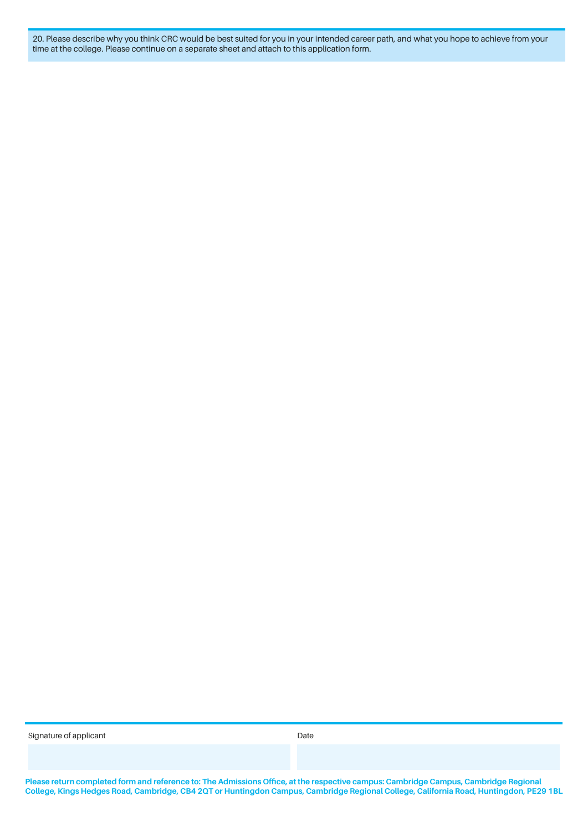20. Please describe why you think CRC would be best suited for you in your intended career path, and what you hope to achieve from your time at the college. Please continue on a separate sheet and attach to this application form.

Signature of applicant Date of  $\mathcal{L}$  bate Date of  $\mathcal{L}$ 

**Please return completed form and reference to: The Admissions Office, at the respective campus: Cambridge Campus, Cambridge Regional College, Kings Hedges Road, Cambridge, CB4 2QT or Huntingdon Campus, Cambridge Regional College, California Road, Huntingdon, PE29 1BL**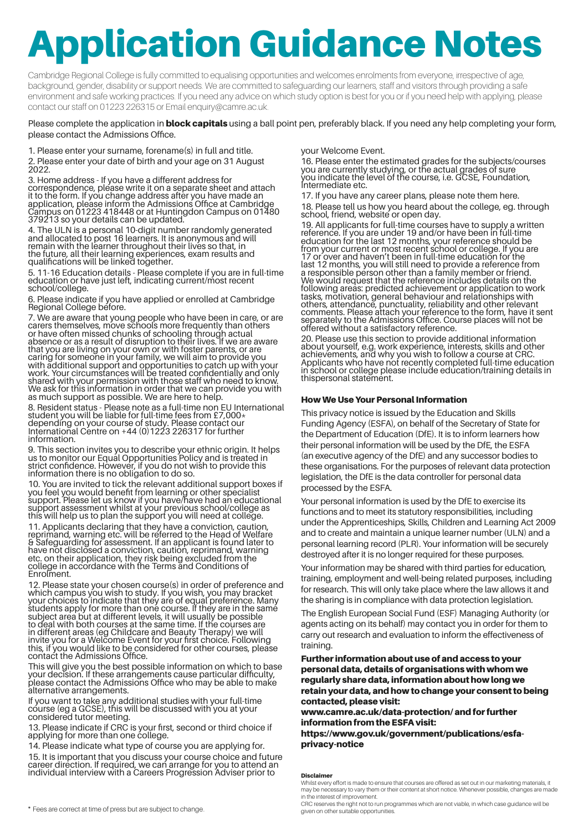# Application Guidance Notes

Cambridge Regional College is fully committed to equalising opportunities and welcomes enrolments from everyone, irrespective of age, background, gender, disability or support needs. We are committed to safeguarding our learners, staff and visitors through providing a safe environment and safe working practices. If you need any advice on which study option is best for you or if you need help with applying, please contact our staff on 01223 226315 or Email enquiry@camre.ac.uk.

#### Please complete the application in **block capitals** using a ball point pen, preferably black. If you need any help completing your form, please contact the Admissions Office.

1. Please enter your surname, forename(s) in full and title. 2. Please enter your date of birth and your age on 31 August 2022.

3. Home address - If you have a different address for correspondence, please write it on a separate sheet and attach it to the form. If you change address after you have made an application, please inform the Admissions Office at Cambridge Campus on 01223 418448 or at Huntingdon Campus on 01480 379213 so your details can be updated.

4. The ULN is a personal 10-digit number randomly generated and allocated to post 16 learners. It is anonymous and will remain with the learner throughout their lives so that, in the future, all their learning experiences, exam results and qualifications will be linked together.

5. 11-16 Education details - Please complete if you are in full-time education or have just left, indicating current/most recent school/college.

6. Please indicate if you have applied or enrolled at Cambridge Regional College before.

7. We are aware that young people who have been in care, or are carers themselves, move schools more frequently than others or have often missed chunks of schooling through actual absence or as a result of disruption to their lives. If we are aware that you are living on your own or with foster parents, or are caring for someone in your family, we will aim to provide you with additional support and opportunities to catch up with your work. Your circumstances will be treated confidentially and only shared with your permission with those staff who need to know. We ask for this information in order that we can provide you with as much support as possible. We are here to help.

8. Resident status - Please note as a full-time non EU International student you will be liable for full-time fees from £7,000\* depending on your course of study. Please contact our International Centre on +44 (0)1223 226317 for further information.

9. This section invites you to describe your ethnic origin. It helps us to monitor our Equal Opportunities Policy and is treated in strict confidence. However, if you do not wish to provide this information there is no obligation to do so.

10. You are invited to tick the relevant additional support boxes if you feel you would benefit from learning or other specialist support. Please let us know if you have/have had an educational support assessment whilst at your previous school/college as this will help us to plan the support you will need at college.

11. Applicants declaring that they have a conviction, caution, reprimand, warning etc. will be referred to the Head of Welfare & Safeguarding for assessment. If an applicant is found later to have not disclosed a conviction, caution, reprimand, warning etc. on their application, they risk being excluded from the college in accordance with the Terms and Conditions of Enrolment.

12. Please state your chosen course(s) in order of preference and which campus you wish to study. If you wish, you may bracket your choices to indicate that they are of equal preference. Many students apply for more than one course. If they are in the same subject area but at different levels, it will usually be possible to deal with both courses at the same time. If the courses are in different areas (eg Childcare and Beauty Therapy) we will invite you for a Welcome Event for your first choice. Following this, if you would like to be considered for other courses, please contact the Admissions Office.

This will give you the best possible information on which to base your decision. If these arrangements cause particular difficulty, please contact the Admissions Office who may be able to make alternative arrangements.

If you want to take any additional studies with your full-time course (eg a GCSE), this will be discussed with you at your considered tutor meeting.

13. Please indicate if CRC is your first, second or third choice if applying for more than one college.

14. Please indicate what type of course you are applying for.

15. It is important that you discuss your course choice and future career direction. If required, we can arrange for you to attend an individual interview with a Careers Progression Adviser prior to

your Welcome Event.

16. Please enter the estimated grades for the subjects/courses you are currently studying, or the actual grades of sure you indicate the level of the course, i.e. GCSE, Foundation, Intermediate etc.

17. If you have any career plans, please note them here. 18. Please tell us how you heard about the college, eg. through school, friend, website or open day.

19. All applicants for full-time courses have to supply a written reference. If you are under 19 and/or have been in full-time education for the last 12 months, your reference should be from your current or most recent school or college. If you are 17 or over and haven't been in full-time education for the last 12 months, you will still need to provide a reference from a responsible person other than a family member or friend. We would request that the reference includes details on the following areas: predicted achievement or application to work tasks, motivation, general behaviour and relationships with others, attendance, punctuality, reliability and other relevant comments. Please attach your reference to the form, have it sent separately to the Admissions Office. Course places will not be offered without a satisfactory reference.

20. Please use this section to provide additional information about yourself, e.g. work experience, interests, skills and other achievements, and why you wish to follow a course at CRC. Applicants who have not recently completed full-time education in school or college please include education/training details in thispersonal statement.

#### How We Use Your Personal Information

This privacy notice is issued by the Education and Skills Funding Agency (ESFA), on behalf of the Secretary of State for the Department of Education (DfE). It is to inform learners how their personal information will be used by the DfE, the ESFA (an executive agency of the DfE) and any successor bodies to these organisations. For the purposes of relevant data protection legislation, the DfE is the data controller for personal data processed by the ESFA.

Your personal information is used by the DfE to exercise its functions and to meet its statutory responsibilities, including under the Apprenticeships, Skills, Children and Learning Act 2009 and to create and maintain a unique learner number (ULN) and a personal learning record (PLR). Your information will be securely destroyed after it is no longer required for these purposes.

Your information may be shared with third parties for education, training, employment and well-being related purposes, including for research. This will only take place where the law allows it and the sharing is in compliance with data protection legislation.

The English European Social Fund (ESF) Managing Authority (or agents acting on its behalf) may contact you in order for them to carry out research and evaluation to inform the effectiveness of training.

Further information about use of and access to your personal data, details of organisations with whom we regularly share data, information about how long we retain your data, and how to change your consent to being contacted, please visit:

www.camre.ac.uk/data-protection/ and for further information from the ESFA visit:

https://www.gov.uk/government/publications/esfaprivacy-notice

#### **Disclaimer**

CRC reserves the right not to run programmes which are not viable, in which case guidance will be given on other suitable opportunities.

Whilst every effort is made to ensure that courses are offered as set out in our marketing materials, it may be necessary to vary them or their content at short notice. Whenever possible, changes are made in the interest of improvement.